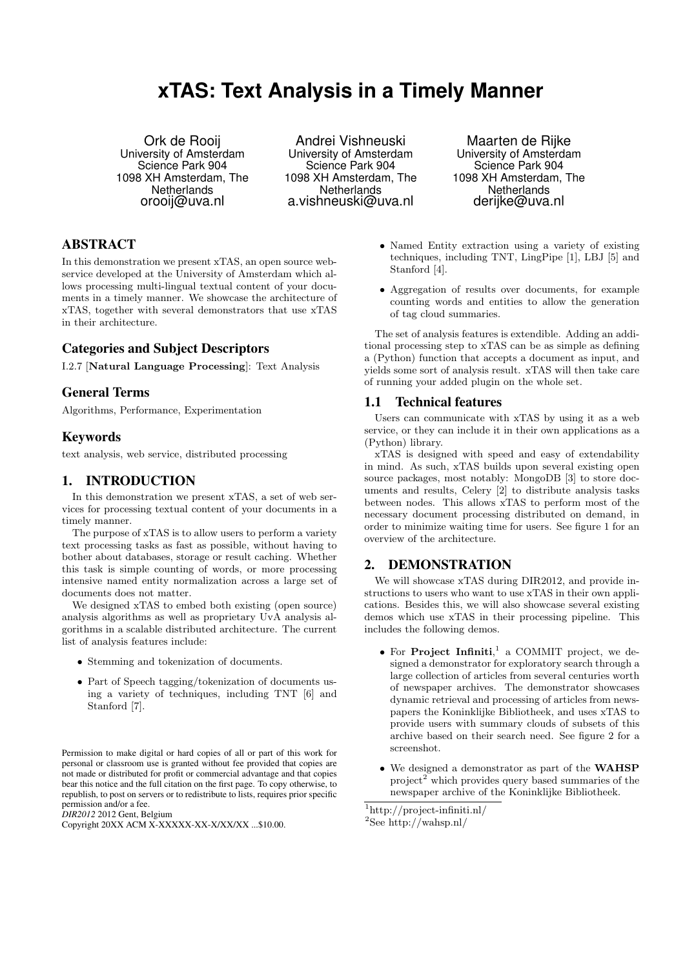# **xTAS: Text Analysis in a Timely Manner**

Ork de Rooij University of Amsterdam Science Park 904 1098 XH Amsterdam, The **Netherlands** orooij@uva.nl

Andrei Vishneuski University of Amsterdam Science Park 904 1098 XH Amsterdam, The **Netherlands** a.vishneuski@uva.nl

Maarten de Rijke University of Amsterdam Science Park 904 1098 XH Amsterdam, The **Netherlands** derijke@uva.nl

# ABSTRACT

In this demonstration we present xTAS, an open source webservice developed at the University of Amsterdam which allows processing multi-lingual textual content of your documents in a timely manner. We showcase the architecture of xTAS, together with several demonstrators that use xTAS in their architecture.

## Categories and Subject Descriptors

I.2.7 [Natural Language Processing]: Text Analysis

# General Terms

Algorithms, Performance, Experimentation

## Keywords

text analysis, web service, distributed processing

## 1. INTRODUCTION

In this demonstration we present xTAS, a set of web services for processing textual content of your documents in a timely manner.

The purpose of xTAS is to allow users to perform a variety text processing tasks as fast as possible, without having to bother about databases, storage or result caching. Whether this task is simple counting of words, or more processing intensive named entity normalization across a large set of documents does not matter.

We designed xTAS to embed both existing (open source) analysis algorithms as well as proprietary UvA analysis algorithms in a scalable distributed architecture. The current list of analysis features include:

- Stemming and tokenization of documents.
- Part of Speech tagging/tokenization of documents using a variety of techniques, including TNT [6] and Stanford [7].

Permission to make digital or hard copies of all or part of this work for personal or classroom use is granted without fee provided that copies are not made or distributed for profit or commercial advantage and that copies bear this notice and the full citation on the first page. To copy otherwise, to republish, to post on servers or to redistribute to lists, requires prior specific permission and/or a fee.

*DIR2012* 2012 Gent, Belgium

- Named Entity extraction using a variety of existing techniques, including TNT, LingPipe [1], LBJ [5] and Stanford [4].
- Aggregation of results over documents, for example counting words and entities to allow the generation of tag cloud summaries.

The set of analysis features is extendible. Adding an additional processing step to xTAS can be as simple as defining a (Python) function that accepts a document as input, and yields some sort of analysis result. xTAS will then take care of running your added plugin on the whole set.

#### 1.1 Technical features

Users can communicate with xTAS by using it as a web service, or they can include it in their own applications as a (Python) library.

xTAS is designed with speed and easy of extendability in mind. As such, xTAS builds upon several existing open source packages, most notably: MongoDB [3] to store documents and results, Celery [2] to distribute analysis tasks between nodes. This allows xTAS to perform most of the necessary document processing distributed on demand, in order to minimize waiting time for users. See figure 1 for an overview of the architecture.

## 2. DEMONSTRATION

We will showcase xTAS during DIR2012, and provide instructions to users who want to use xTAS in their own applications. Besides this, we will also showcase several existing demos which use xTAS in their processing pipeline. This includes the following demos.

- For Project Infiniti, 1 a COMMIT project, we designed a demonstrator for exploratory search through a large collection of articles from several centuries worth of newspaper archives. The demonstrator showcases dynamic retrieval and processing of articles from newspapers the Koninklijke Bibliotheek, and uses xTAS to provide users with summary clouds of subsets of this archive based on their search need. See figure 2 for a screenshot.
- We designed a demonstrator as part of the WAHSP project<sup>2</sup> which provides query based summaries of the newspaper archive of the Koninklijke Bibliotheek.

Copyright 20XX ACM X-XXXXX-XX-X/XX/XX ...\$10.00.

<sup>1</sup>http://project-infiniti.nl/

 $^2{\rm See}$ http://wahsp.nl/